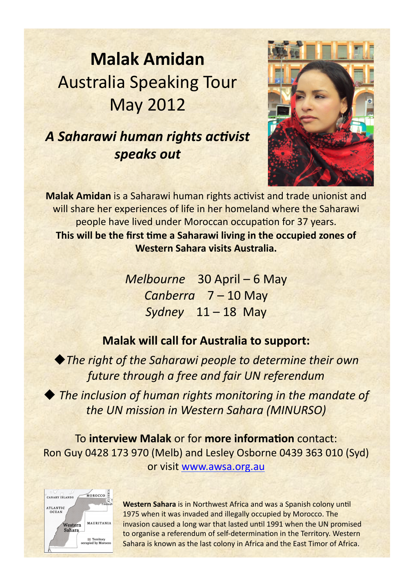# **Malak Amidan Australia Speaking Tour May 2012**

### A Saharawi human rights activist *speaks"out*



**Malak Amidan** is a Saharawi human rights activist and trade unionist and will share her experiences of life in her homeland where the Saharawi people have lived under Moroccan occupation for 37 years. **This will be the first time a Saharawi living in the occupied zones of** Western Sahara visits Australia.

> *Melbourne))))*30)April)–)6)May) *Canberra))))*7)–)10)May *Sydney* 11-18 May

### **Malak will call for Australia to support:**

◆The right of the Saharawi people to determine their own *future through a free and fair UN referendum* 

◆ The inclusion of human rights monitoring in the mandate of *the)UN)mission)in)Western)Sahara)(MINURSO)*))

To interview Malak or for more information contact: Ron)Guy)0428)173)970)(Melb))and)Lesley)Osborne)0439)363)010)(Syd)) or visit www.awsa.org.au



**Western Sahara** is in Northwest Africa and was a Spanish colony until 1975 when it was invaded and illegally occupied by Morocco. The invasion caused a long war that lasted until 1991 when the UN promised to organise a referendum of self-determination in the Territory. Western Sahara is known as the last colony in Africa and the East Timor of Africa.